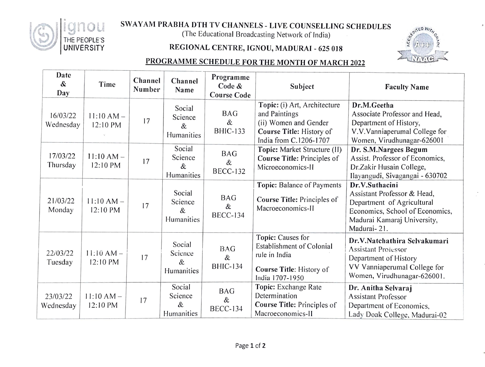

## SWAYAM PRABHA DTH TV CHANNELS - LIVE COUNSELLING SCHEDULES

(The Educational Broadcasting Network of India)

## REGIONAL CENTRE, IGNOU, MADURAI - 625 018



## PROGRAMME SCHEDULE FOR THE MONTH OF MARCH 2022

| Date<br>&<br>Day      | Time                     | Channel<br>Number | Channel<br>Name                         | Programme<br>Code &<br><b>Course Code</b> | Subject                                                                                                                      | <b>Faculty Name</b>                                                                                                                                          |
|-----------------------|--------------------------|-------------------|-----------------------------------------|-------------------------------------------|------------------------------------------------------------------------------------------------------------------------------|--------------------------------------------------------------------------------------------------------------------------------------------------------------|
| 16/03/22<br>Wednesday | $11:10 AM -$<br>12:10 PM | 17                | Social<br>Science<br>&<br>Humanities    | <b>BAG</b><br>&<br><b>BHIC-133</b>        | Topic: (i) Art, Architecture<br>and Paintings<br>(ii) Women and Gender<br>Course Title: History of<br>India from C.1206-1707 | Dr.M.Geetha<br>Associate Professor and Head,<br>Department of History,<br>V.V.Vanniaperumal College for<br>Women, Virudhunagar-626001                        |
| 17/03/22<br>Thursday  | $11:10 AM -$<br>12:10 PM | 17                | Social<br>Science<br>&<br>Humanities    | <b>BAG</b><br>&<br><b>BECC-132</b>        | Topic: Market Structure (II)<br>Course Title: Principles of<br>Microeconomics-II                                             | Dr. S.M.Nargees Begum<br>Assist. Professor of Economics,<br>Dr.Zakir Husain College,<br>Ilayangudi, Sivagangai - 630702                                      |
| 21/03/22<br>Monday    | $11:10 AM -$<br>12:10 PM | 17                | Social<br>Science<br>&<br>Humanities    | <b>BAG</b><br>&<br><b>BECC-134</b>        | Topic: Balance of Payments<br>Course Title: Principles of<br>Macroeconomics-II                                               | Dr.V.Suthacini<br>Assistant Professor & Head,<br>Department of Agricultural<br>Economics, School of Economics,<br>Madurai Kamaraj University,<br>Madurai-21. |
| 22/03/22<br>Tuesday   | $11:10 AM -$<br>12:10 PM | 17                | Social<br>Science<br>$\&$<br>Humanities | <b>BAG</b><br>&<br><b>BHIC-134</b>        | Topic: Causes for<br>Establishment of Colonial<br>rule in India<br>Course Title: History of<br>India 1707-1950               | Dr.V.Natchathira Selvakumari<br><b>Assistant Professor</b><br>Department of History<br>VV Vanniaperumal College for<br>Women, Virudhunagar-626001.           |
| 23/03/22<br>Wednesday | $11:10 AM -$<br>12:10 PM | 17                | Social<br>Science<br>&<br>Humanities    | <b>BAG</b><br>&<br><b>BECC-134</b>        | Topic: Exchange Rate<br>Determination<br>Course Title: Principles of<br>Macroeconomics-II                                    | Dr. Anitha Selvaraj<br><b>Assistant Professor</b><br>Department of Economics,<br>Lady Doak College, Madurai-02                                               |